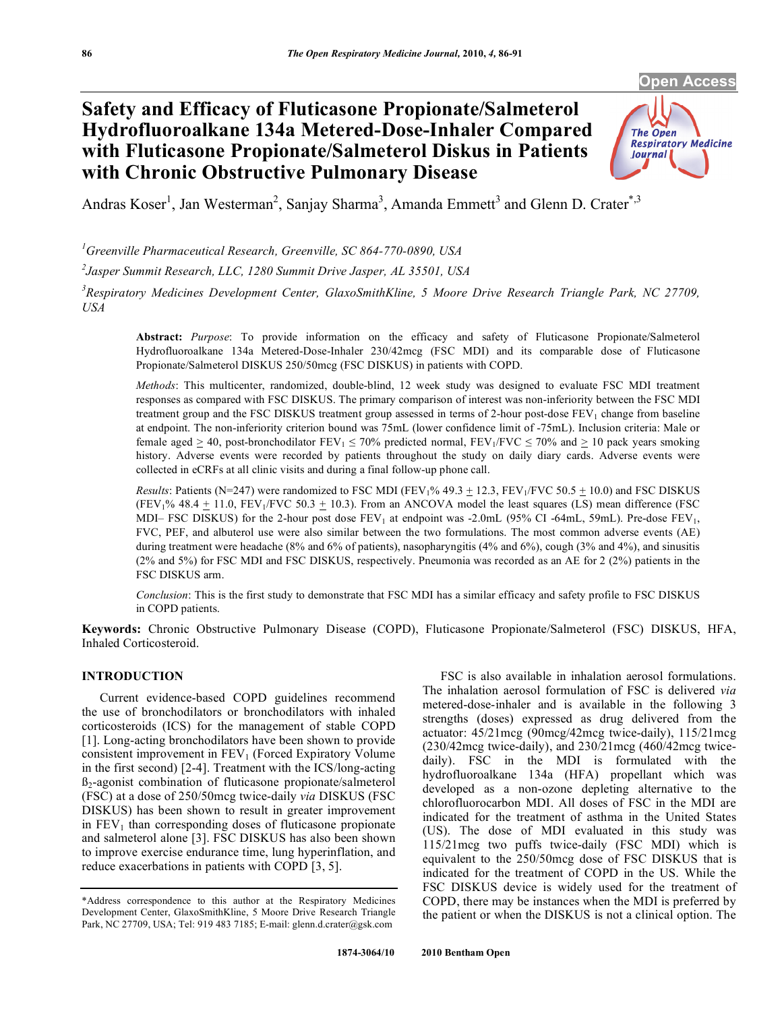**Open Access** 

# **Safety and Efficacy of Fluticasone Propionate/Salmeterol Hydrofluoroalkane 134a Metered-Dose-Inhaler Compared with Fluticasone Propionate/Salmeterol Diskus in Patients with Chronic Obstructive Pulmonary Disease**



Andras Koser<sup>1</sup>, Jan Westerman<sup>2</sup>, Sanjay Sharma<sup>3</sup>, Amanda Emmett<sup>3</sup> and Glenn D. Crater<sup>\*,3</sup>

*1 Greenville Pharmaceutical Research, Greenville, SC 864-770-0890, USA* 

*2 Jasper Summit Research, LLC, 1280 Summit Drive Jasper, AL 35501, USA* 

<sup>3</sup> Respiratory Medicines Development Center, GlaxoSmithKline, 5 Moore Drive Research Triangle Park, NC 27709, *USA* 

**Abstract:** *Purpose*: To provide information on the efficacy and safety of Fluticasone Propionate/Salmeterol Hydrofluoroalkane 134a Metered-Dose-Inhaler 230/42mcg (FSC MDI) and its comparable dose of Fluticasone Propionate/Salmeterol DISKUS 250/50mcg (FSC DISKUS) in patients with COPD.

*Methods*: This multicenter, randomized, double-blind, 12 week study was designed to evaluate FSC MDI treatment responses as compared with FSC DISKUS. The primary comparison of interest was non-inferiority between the FSC MDI treatment group and the FSC DISKUS treatment group assessed in terms of 2-hour post-dose  $FEV<sub>1</sub>$  change from baseline at endpoint. The non-inferiority criterion bound was 75mL (lower confidence limit of -75mL). Inclusion criteria: Male or female aged  $\geq$  40, post-bronchodilator FEV<sub>1</sub>  $\leq$  70% predicted normal, FEV<sub>1</sub>/FVC  $\leq$  70% and  $\geq$  10 pack years smoking history. Adverse events were recorded by patients throughout the study on daily diary cards. Adverse events were collected in eCRFs at all clinic visits and during a final follow-up phone call.

*Results*: Patients (N=247) were randomized to FSC MDI (FEV<sub>1</sub>% 49.3  $\pm$  12.3, FEV<sub>1</sub>/FVC 50.5  $\pm$  10.0) and FSC DISKUS (FEV<sub>1</sub>% 48.4  $\pm$  11.0, FEV<sub>1</sub>/FVC 50.3  $\pm$  10.3). From an ANCOVA model the least squares (LS) mean difference (FSC MDI– FSC DISKUS) for the 2-hour post dose  $FEV_1$  at endpoint was -2.0mL (95% CI -64mL, 59mL). Pre-dose  $FEV_1$ , FVC, PEF, and albuterol use were also similar between the two formulations. The most common adverse events (AE) during treatment were headache (8% and 6% of patients), nasopharyngitis (4% and 6%), cough (3% and 4%), and sinusitis (2% and 5%) for FSC MDI and FSC DISKUS, respectively. Pneumonia was recorded as an AE for 2 (2%) patients in the FSC DISKUS arm.

*Conclusion*: This is the first study to demonstrate that FSC MDI has a similar efficacy and safety profile to FSC DISKUS in COPD patients.

**Keywords:** Chronic Obstructive Pulmonary Disease (COPD), Fluticasone Propionate/Salmeterol (FSC) DISKUS, HFA, Inhaled Corticosteroid.

## **INTRODUCTION**

 Current evidence-based COPD guidelines recommend the use of bronchodilators or bronchodilators with inhaled corticosteroids (ICS) for the management of stable COPD [1]. Long-acting bronchodilators have been shown to provide consistent improvement in  $FEV<sub>1</sub>$  (Forced Expiratory Volume in the first second) [2-4]. Treatment with the ICS/long-acting  $B_2$ -agonist combination of fluticasone propionate/salmeterol (FSC) at a dose of 250/50mcg twice-daily *via* DISKUS (FSC DISKUS) has been shown to result in greater improvement in  $FEV<sub>1</sub>$  than corresponding doses of fluticasone propionate and salmeterol alone [3]. FSC DISKUS has also been shown to improve exercise endurance time, lung hyperinflation, and reduce exacerbations in patients with COPD [3, 5].

 FSC is also available in inhalation aerosol formulations. The inhalation aerosol formulation of FSC is delivered *via*  metered-dose-inhaler and is available in the following 3 strengths (doses) expressed as drug delivered from the actuator: 45/21mcg (90mcg/42mcg twice-daily), 115/21mcg (230/42mcg twice-daily), and 230/21mcg (460/42mcg twicedaily). FSC in the MDI is formulated with the hydrofluoroalkane 134a (HFA) propellant which was developed as a non-ozone depleting alternative to the chlorofluorocarbon MDI. All doses of FSC in the MDI are indicated for the treatment of asthma in the United States (US). The dose of MDI evaluated in this study was 115/21mcg two puffs twice-daily (FSC MDI) which is equivalent to the 250/50mcg dose of FSC DISKUS that is indicated for the treatment of COPD in the US. While the FSC DISKUS device is widely used for the treatment of COPD, there may be instances when the MDI is preferred by the patient or when the DISKUS is not a clinical option. The

<sup>\*</sup>Address correspondence to this author at the Respiratory Medicines Development Center, GlaxoSmithKline, 5 Moore Drive Research Triangle Park, NC 27709, USA; Tel: 919 483 7185; E-mail: glenn.d.crater@gsk.com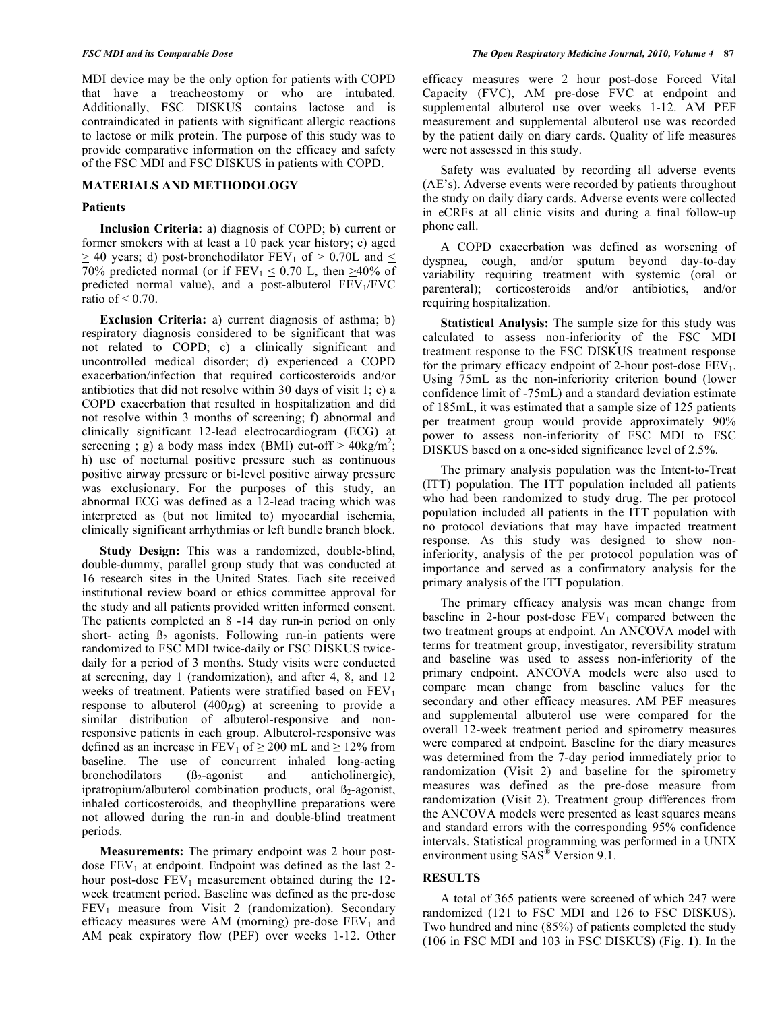MDI device may be the only option for patients with COPD that have a treacheostomy or who are intubated. Additionally, FSC DISKUS contains lactose and is contraindicated in patients with significant allergic reactions to lactose or milk protein. The purpose of this study was to provide comparative information on the efficacy and safety of the FSC MDI and FSC DISKUS in patients with COPD.

## **MATERIALS AND METHODOLOGY**

## **Patients**

 **Inclusion Criteria:** a) diagnosis of COPD; b) current or former smokers with at least a 10 pack year history; c) aged  $\geq$  40 years; d) post-bronchodilator FEV<sub>1</sub> of  $>$  0.70L and  $\leq$ 70% predicted normal (or if  $FEV_1 \le 0.70$  L, then  $\ge 40\%$  of predicted normal value), and a post-albuterol  $FEV<sub>1</sub>/FVC$ ratio of  $\leq 0.70$ .

 **Exclusion Criteria:** a) current diagnosis of asthma; b) respiratory diagnosis considered to be significant that was not related to COPD; c) a clinically significant and uncontrolled medical disorder; d) experienced a COPD exacerbation/infection that required corticosteroids and/or antibiotics that did not resolve within 30 days of visit 1; e) a COPD exacerbation that resulted in hospitalization and did not resolve within 3 months of screening; f) abnormal and clinically significant 12-lead electrocardiogram (ECG) at screening ; g) a body mass index (BMI) cut-off  $> 40 \text{kg/m}^2$ ; h) use of nocturnal positive pressure such as continuous positive airway pressure or bi-level positive airway pressure was exclusionary. For the purposes of this study, an abnormal ECG was defined as a 12-lead tracing which was interpreted as (but not limited to) myocardial ischemia, clinically significant arrhythmias or left bundle branch block.

 **Study Design:** This was a randomized, double-blind, double-dummy, parallel group study that was conducted at 16 research sites in the United States. Each site received institutional review board or ethics committee approval for the study and all patients provided written informed consent. The patients completed an 8 -14 day run-in period on only short- acting  $\beta_2$  agonists. Following run-in patients were randomized to FSC MDI twice-daily or FSC DISKUS twicedaily for a period of 3 months. Study visits were conducted at screening, day 1 (randomization), and after 4, 8, and 12 weeks of treatment. Patients were stratified based on  $FEV<sub>1</sub>$ response to albuterol  $(400\mu$ g) at screening to provide a similar distribution of albuterol-responsive and nonresponsive patients in each group. Albuterol-responsive was defined as an increase in FEV<sub>1</sub> of  $\geq$  200 mL and  $\geq$  12% from baseline. The use of concurrent inhaled long-acting bronchodilators  $(\beta_2$ -agonist and anticholinergic), ipratropium/albuterol combination products, oral  $\beta_2$ -agonist, inhaled corticosteroids, and theophylline preparations were not allowed during the run-in and double-blind treatment periods.

 **Measurements:** The primary endpoint was 2 hour postdose  $FEV<sub>1</sub>$  at endpoint. Endpoint was defined as the last 2hour post-dose  $FEV_1$  measurement obtained during the 12week treatment period. Baseline was defined as the pre-dose  $FEV<sub>1</sub>$  measure from Visit 2 (randomization). Secondary efficacy measures were AM (morning) pre-dose  $FEV<sub>1</sub>$  and AM peak expiratory flow (PEF) over weeks 1-12. Other efficacy measures were 2 hour post-dose Forced Vital Capacity (FVC), AM pre-dose FVC at endpoint and supplemental albuterol use over weeks 1-12. AM PEF measurement and supplemental albuterol use was recorded by the patient daily on diary cards. Quality of life measures were not assessed in this study.

 Safety was evaluated by recording all adverse events (AE's). Adverse events were recorded by patients throughout the study on daily diary cards. Adverse events were collected in eCRFs at all clinic visits and during a final follow-up phone call.

 A COPD exacerbation was defined as worsening of dyspnea, cough, and/or sputum beyond day-to-day variability requiring treatment with systemic (oral or parenteral); corticosteroids and/or antibiotics, and/or requiring hospitalization.

 **Statistical Analysis:** The sample size for this study was calculated to assess non-inferiority of the FSC MDI treatment response to the FSC DISKUS treatment response for the primary efficacy endpoint of 2-hour post-dose  $FEV<sub>1</sub>$ . Using 75mL as the non-inferiority criterion bound (lower confidence limit of -75mL) and a standard deviation estimate of 185mL, it was estimated that a sample size of 125 patients per treatment group would provide approximately 90% power to assess non-inferiority of FSC MDI to FSC DISKUS based on a one-sided significance level of 2.5%.

 The primary analysis population was the Intent-to-Treat (ITT) population. The ITT population included all patients who had been randomized to study drug. The per protocol population included all patients in the ITT population with no protocol deviations that may have impacted treatment response. As this study was designed to show noninferiority, analysis of the per protocol population was of importance and served as a confirmatory analysis for the primary analysis of the ITT population.

 The primary efficacy analysis was mean change from baseline in 2-hour post-dose  $FEV<sub>1</sub>$  compared between the two treatment groups at endpoint. An ANCOVA model with terms for treatment group, investigator, reversibility stratum and baseline was used to assess non-inferiority of the primary endpoint. ANCOVA models were also used to compare mean change from baseline values for the secondary and other efficacy measures. AM PEF measures and supplemental albuterol use were compared for the overall 12-week treatment period and spirometry measures were compared at endpoint. Baseline for the diary measures was determined from the 7-day period immediately prior to randomization (Visit 2) and baseline for the spirometry measures was defined as the pre-dose measure from randomization (Visit 2). Treatment group differences from the ANCOVA models were presented as least squares means and standard errors with the corresponding 95% confidence intervals. Statistical programming was performed in a UNIX environment using SAS® Version 9.1.

# **RESULTS**

 A total of 365 patients were screened of which 247 were randomized (121 to FSC MDI and 126 to FSC DISKUS). Two hundred and nine (85%) of patients completed the study (106 in FSC MDI and 103 in FSC DISKUS) (Fig. **1**). In the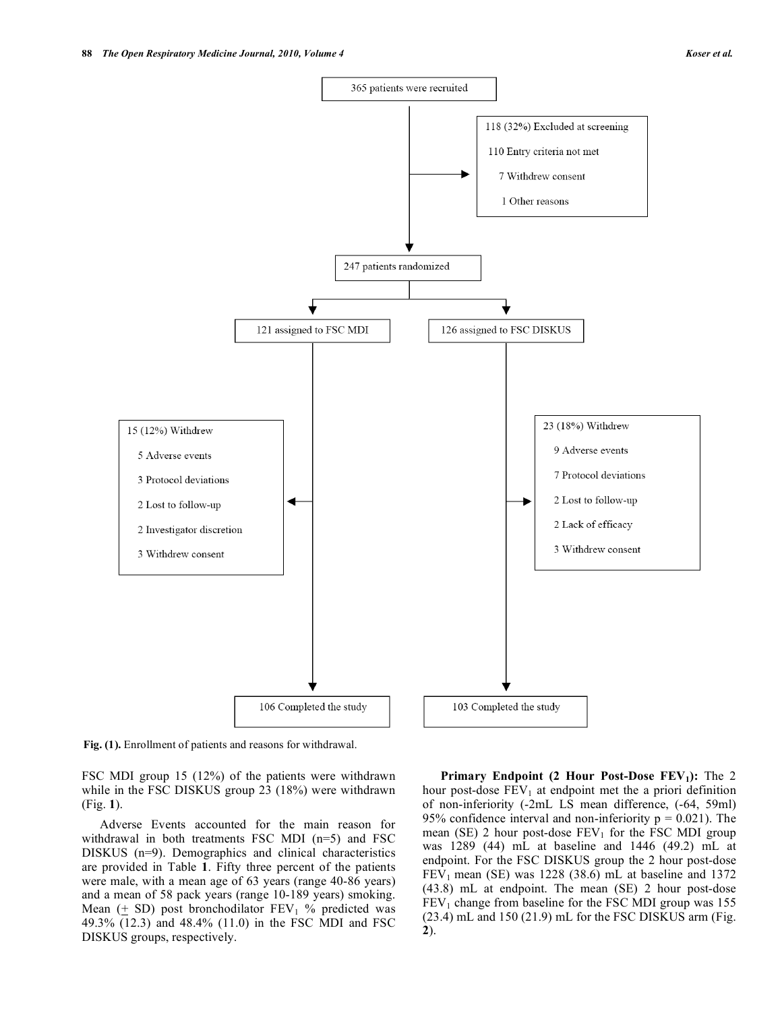

**Fig. (1).** Enrollment of patients and reasons for withdrawal.

FSC MDI group 15 (12%) of the patients were withdrawn while in the FSC DISKUS group 23 (18%) were withdrawn (Fig. **1**).

 Adverse Events accounted for the main reason for withdrawal in both treatments FSC MDI (n=5) and FSC DISKUS (n=9). Demographics and clinical characteristics are provided in Table **1**. Fifty three percent of the patients were male, with a mean age of 63 years (range 40-86 years) and a mean of 58 pack years (range 10-189 years) smoking. Mean  $(+ SD)$  post bronchodilator  $FEV<sub>1</sub>$  % predicted was 49.3% (12.3) and 48.4% (11.0) in the FSC MDI and FSC DISKUS groups, respectively.

**Primary Endpoint (2 Hour Post-Dose FEV<sub>1</sub>):** The 2 hour post-dose  $FEV_1$  at endpoint met the a priori definition of non-inferiority (-2mL LS mean difference, (-64, 59ml) 95% confidence interval and non-inferiority  $p = 0.021$ ). The mean (SE) 2 hour post-dose  $FEV_1$  for the FSC MDI group was 1289 (44) mL at baseline and 1446 (49.2) mL at endpoint. For the FSC DISKUS group the 2 hour post-dose  $FEV<sub>1</sub>$  mean (SE) was 1228 (38.6) mL at baseline and 1372 (43.8) mL at endpoint. The mean (SE) 2 hour post-dose  $FEV<sub>1</sub>$  change from baseline for the FSC MDI group was 155 (23.4) mL and 150 (21.9) mL for the FSC DISKUS arm (Fig. **2**).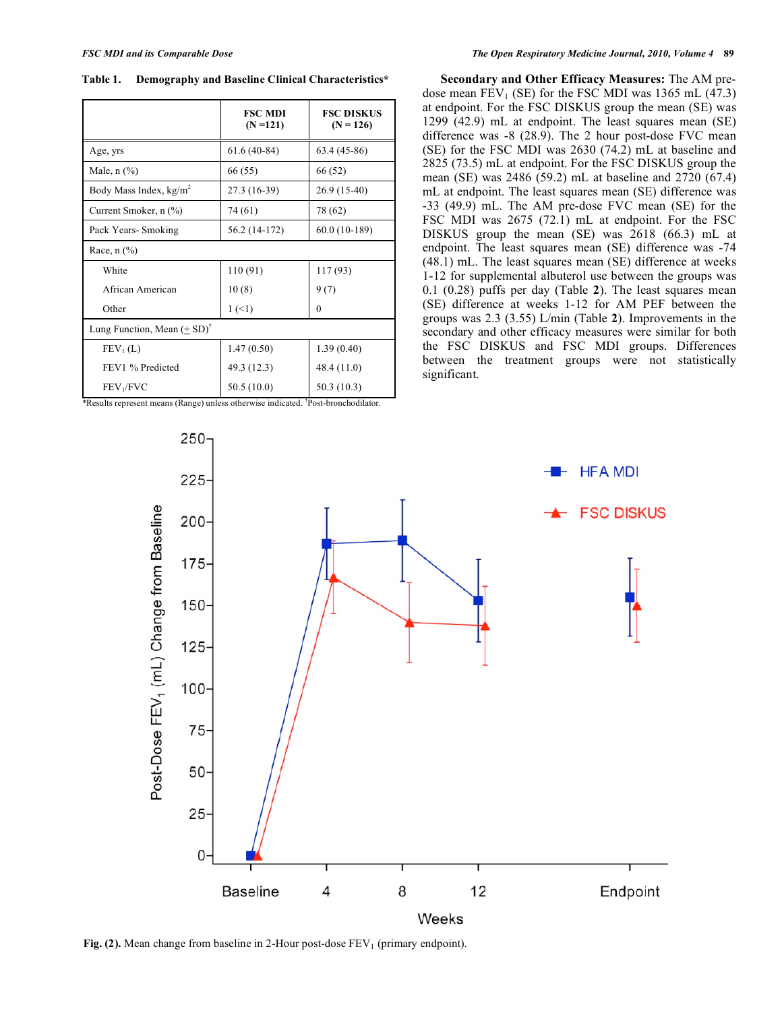**Table 1. Demography and Baseline Clinical Characteristics\*** 

|                                        | <b>FSC MDI</b><br>$(N = 121)$ | <b>FSC DISKUS</b><br>$(N = 126)$ |  |  |
|----------------------------------------|-------------------------------|----------------------------------|--|--|
| Age, yrs                               | $61.6(40-84)$                 | $63.4(45-86)$                    |  |  |
| Male, $n$ $(\%)$                       | 66 (55)                       | 66 (52)                          |  |  |
| Body Mass Index, $kg/m2$               | 27.3 (16-39)                  | 26.9 (15-40)                     |  |  |
| Current Smoker, n (%)                  | 74 (61)                       | 78 (62)                          |  |  |
| Pack Years-Smoking                     | 56.2 (14-172)                 | 60.0 (10-189)                    |  |  |
| Race, $n$ $(\%)$                       |                               |                                  |  |  |
| White                                  | 110 (91)                      | 117 (93)                         |  |  |
| African American                       | 10(8)                         | 9(7)                             |  |  |
| Other                                  | 1(1)                          | $\theta$                         |  |  |
| Lung Function, Mean $(+ SD)^{\dagger}$ |                               |                                  |  |  |
| FEV <sub>1</sub> (L)                   | 1.47(0.50)                    | 1.39(0.40)                       |  |  |
| FEV1 % Predicted                       | 49.3 (12.3)                   | 48.4 (11.0)                      |  |  |
| FEV <sub>1</sub> /FVC                  | 50.5(10.0)<br>1 tn            | 50.3 (10.3)                      |  |  |

*\**Results represent means (Range) unless otherwise indicated. † Post-bronchodilator.

 **Secondary and Other Efficacy Measures:** The AM predose mean  $FEV_1$  (SE) for the FSC MDI was 1365 mL (47.3) at endpoint. For the FSC DISKUS group the mean (SE) was 1299 (42.9) mL at endpoint. The least squares mean (SE) difference was -8 (28.9). The 2 hour post-dose FVC mean (SE) for the FSC MDI was 2630 (74.2) mL at baseline and 2825 (73.5) mL at endpoint. For the FSC DISKUS group the mean (SE) was 2486 (59.2) mL at baseline and 2720 (67.4) mL at endpoint. The least squares mean (SE) difference was -33 (49.9) mL. The AM pre-dose FVC mean (SE) for the FSC MDI was 2675 (72.1) mL at endpoint. For the FSC DISKUS group the mean (SE) was 2618 (66.3) mL at endpoint. The least squares mean (SE) difference was -74 (48.1) mL. The least squares mean (SE) difference at weeks 1-12 for supplemental albuterol use between the groups was 0.1 (0.28) puffs per day (Table **2**). The least squares mean (SE) difference at weeks 1-12 for AM PEF between the groups was 2.3 (3.55) L/min (Table **2**). Improvements in the secondary and other efficacy measures were similar for both the FSC DISKUS and FSC MDI groups. Differences between the treatment groups were not statistically significant.



**Fig. (2).** Mean change from baseline in 2-Hour post-dose FEV<sub>1</sub> (primary endpoint).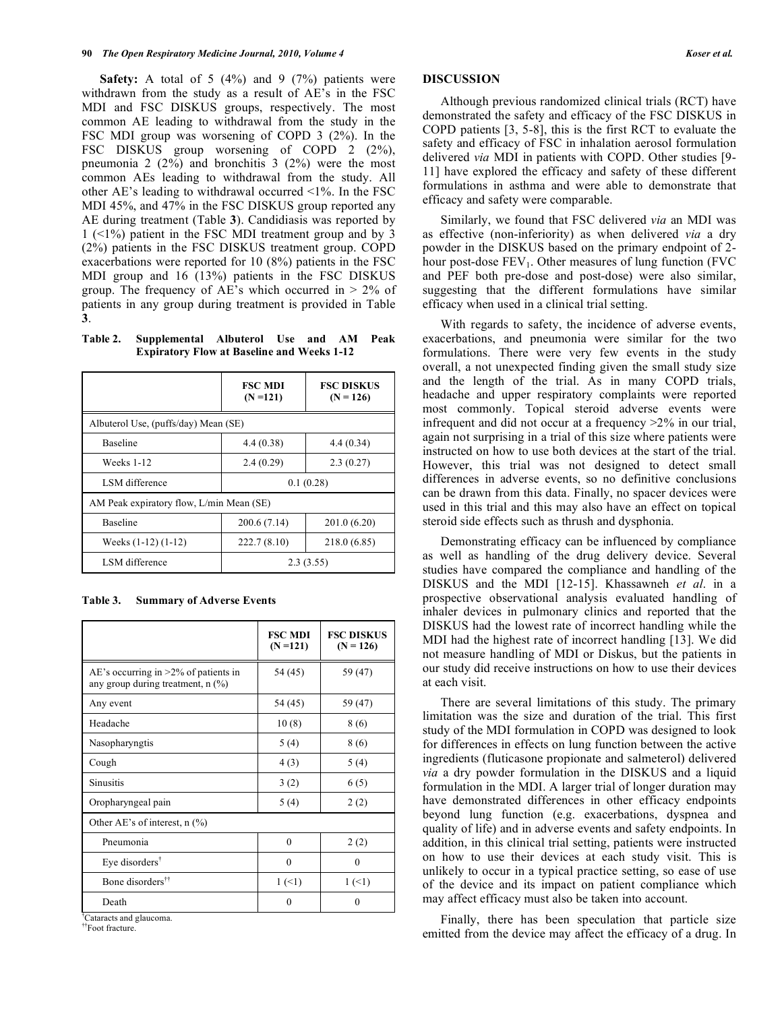**Safety:** A total of 5 (4%) and 9 (7%) patients were withdrawn from the study as a result of AE's in the FSC MDI and FSC DISKUS groups, respectively. The most common AE leading to withdrawal from the study in the FSC MDI group was worsening of COPD 3 (2%). In the FSC DISKUS group worsening of COPD 2 (2%), pneumonia 2  $(2\%)$  and bronchitis 3  $(2\%)$  were the most common AEs leading to withdrawal from the study. All other AE's leading to withdrawal occurred <1%. In the FSC MDI 45%, and 47% in the FSC DISKUS group reported any AE during treatment (Table **3**). Candidiasis was reported by 1 (<1%) patient in the FSC MDI treatment group and by 3 (2%) patients in the FSC DISKUS treatment group. COPD exacerbations were reported for 10 (8%) patients in the FSC MDI group and 16 (13%) patients in the FSC DISKUS group. The frequency of AE's which occurred in  $> 2\%$  of patients in any group during treatment is provided in Table **3**.

**Table 2. Supplemental Albuterol Use and AM Peak Expiratory Flow at Baseline and Weeks 1-12** 

|                                          | <b>FSC MDI</b><br>$(N = 121)$ | <b>FSC DISKUS</b><br>$(N = 126)$ |  |  |
|------------------------------------------|-------------------------------|----------------------------------|--|--|
| Albuterol Use, (puffs/day) Mean (SE)     |                               |                                  |  |  |
| Baseline                                 | 4.4(0.38)                     | 4.4(0.34)                        |  |  |
| Weeks 1-12                               | 2.4(0.29)                     | 2.3(0.27)                        |  |  |
| LSM difference                           | 0.1(0.28)                     |                                  |  |  |
| AM Peak expiratory flow, L/min Mean (SE) |                               |                                  |  |  |
| Baseline                                 | 200.6(7.14)                   | 201.0(6.20)                      |  |  |
| Weeks $(1-12)$ $(1-12)$                  | 222.7(8.10)                   | 218.0 (6.85)                     |  |  |
| LSM difference                           | 2.3(3.55)                     |                                  |  |  |

| <b>Summary of Adverse Events</b> | Table 3. |  |  |  |
|----------------------------------|----------|--|--|--|
|----------------------------------|----------|--|--|--|

|                                                                              | <b>FSC MDI</b><br>$(N=121)$ | <b>FSC DISKUS</b><br>$(N = 126)$ |  |  |
|------------------------------------------------------------------------------|-----------------------------|----------------------------------|--|--|
| AE's occurring in $>2\%$ of patients in<br>any group during treatment, n (%) | 54 (45)                     | 59 (47)                          |  |  |
| Any event                                                                    | 54 (45)                     | 59 (47)                          |  |  |
| Headache                                                                     | 10(8)                       | 8 (6)                            |  |  |
| Nasopharyngtis                                                               | 5(4)                        | 8 (6)                            |  |  |
| Cough                                                                        | 4(3)                        | 5(4)                             |  |  |
| Sinusitis                                                                    | 3(2)                        | 6(5)                             |  |  |
| Oropharyngeal pain                                                           | 5(4)                        | 2(2)                             |  |  |
| Other AE's of interest, $n$ (%)                                              |                             |                                  |  |  |
| Pneumonia                                                                    | $\theta$                    | 2(2)                             |  |  |
| Eye disorders <sup><math>\dagger</math></sup>                                | $\theta$                    | $\Omega$                         |  |  |
| Bone disorders <sup>††</sup>                                                 | 1(1)                        | $1(-1)$                          |  |  |
| Death                                                                        | $\Omega$                    | $\Omega$                         |  |  |

† Cataracts and glaucoma.

††Foot fracture.

# **DISCUSSION**

 Although previous randomized clinical trials (RCT) have demonstrated the safety and efficacy of the FSC DISKUS in COPD patients [3, 5-8], this is the first RCT to evaluate the safety and efficacy of FSC in inhalation aerosol formulation delivered *via* MDI in patients with COPD. Other studies [9- 11] have explored the efficacy and safety of these different formulations in asthma and were able to demonstrate that efficacy and safety were comparable.

 Similarly, we found that FSC delivered *via* an MDI was as effective (non-inferiority) as when delivered *via* a dry powder in the DISKUS based on the primary endpoint of 2 hour post-dose  $FEV<sub>1</sub>$ . Other measures of lung function (FVC) and PEF both pre-dose and post-dose) were also similar, suggesting that the different formulations have similar efficacy when used in a clinical trial setting.

 With regards to safety, the incidence of adverse events, exacerbations, and pneumonia were similar for the two formulations. There were very few events in the study overall, a not unexpected finding given the small study size and the length of the trial. As in many COPD trials, headache and upper respiratory complaints were reported most commonly. Topical steroid adverse events were infrequent and did not occur at a frequency >2% in our trial, again not surprising in a trial of this size where patients were instructed on how to use both devices at the start of the trial. However, this trial was not designed to detect small differences in adverse events, so no definitive conclusions can be drawn from this data. Finally, no spacer devices were used in this trial and this may also have an effect on topical steroid side effects such as thrush and dysphonia.

 Demonstrating efficacy can be influenced by compliance as well as handling of the drug delivery device. Several studies have compared the compliance and handling of the DISKUS and the MDI [12-15]. Khassawneh *et al*. in a prospective observational analysis evaluated handling of inhaler devices in pulmonary clinics and reported that the DISKUS had the lowest rate of incorrect handling while the MDI had the highest rate of incorrect handling [13]. We did not measure handling of MDI or Diskus, but the patients in our study did receive instructions on how to use their devices at each visit.

 There are several limitations of this study. The primary limitation was the size and duration of the trial. This first study of the MDI formulation in COPD was designed to look for differences in effects on lung function between the active ingredients (fluticasone propionate and salmeterol) delivered *via* a dry powder formulation in the DISKUS and a liquid formulation in the MDI. A larger trial of longer duration may have demonstrated differences in other efficacy endpoints beyond lung function (e.g. exacerbations, dyspnea and quality of life) and in adverse events and safety endpoints. In addition, in this clinical trial setting, patients were instructed on how to use their devices at each study visit. This is unlikely to occur in a typical practice setting, so ease of use of the device and its impact on patient compliance which may affect efficacy must also be taken into account.

 Finally, there has been speculation that particle size emitted from the device may affect the efficacy of a drug. In